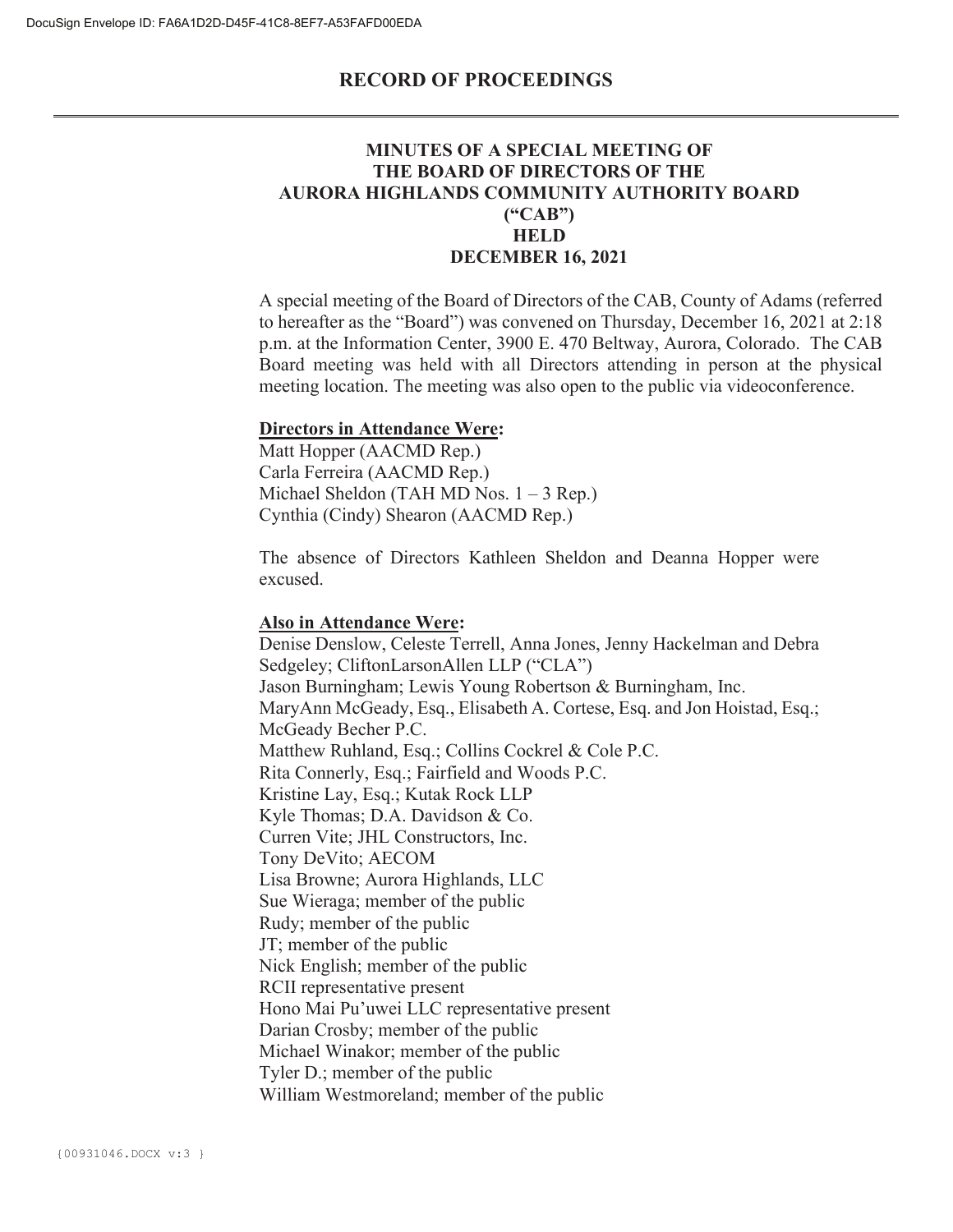### **MINUTES OF A SPECIAL MEETING OF THE BOARD OF DIRECTORS OF THE AURORA HIGHLANDS COMMUNITY AUTHORITY BOARD ("CAB") HELD DECEMBER 16, 2021**

A special meeting of the Board of Directors of the CAB, County of Adams (referred to hereafter as the "Board") was convened on Thursday, December 16, 2021 at 2:18 p.m. at the Information Center, 3900 E. 470 Beltway, Aurora, Colorado. The CAB Board meeting was held with all Directors attending in person at the physical meeting location. The meeting was also open to the public via videoconference.

#### **Directors in Attendance Were:**

Matt Hopper (AACMD Rep.) Carla Ferreira (AACMD Rep.) Michael Sheldon (TAH MD Nos. 1 – 3 Rep.) Cynthia (Cindy) Shearon (AACMD Rep.)

The absence of Directors Kathleen Sheldon and Deanna Hopper were excused.

#### **Also in Attendance Were:**

Denise Denslow, Celeste Terrell, Anna Jones, Jenny Hackelman and Debra Sedgeley; CliftonLarsonAllen LLP ("CLA") Jason Burningham; Lewis Young Robertson & Burningham, Inc. MaryAnn McGeady, Esq., Elisabeth A. Cortese, Esq. and Jon Hoistad, Esq.; McGeady Becher P.C. Matthew Ruhland, Esq.; Collins Cockrel & Cole P.C. Rita Connerly, Esq.; Fairfield and Woods P.C. Kristine Lay, Esq.; Kutak Rock LLP Kyle Thomas; D.A. Davidson & Co. Curren Vite; JHL Constructors, Inc. Tony DeVito; AECOM Lisa Browne; Aurora Highlands, LLC Sue Wieraga; member of the public Rudy; member of the public JT; member of the public Nick English; member of the public RCII representative present Hono Mai Pu'uwei LLC representative present Darian Crosby; member of the public Michael Winakor; member of the public Tyler D.; member of the public William Westmoreland; member of the public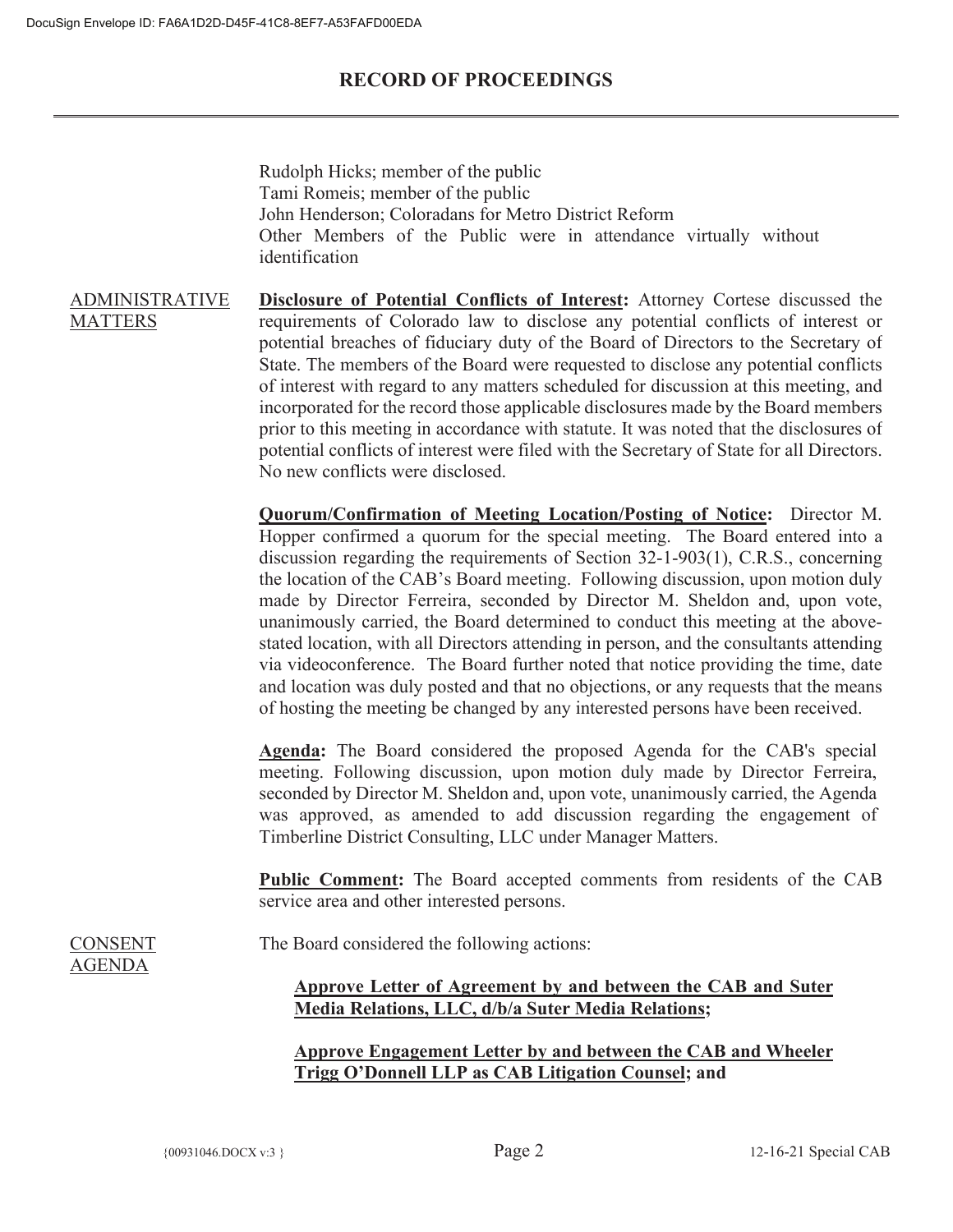Rudolph Hicks; member of the public Tami Romeis; member of the public John Henderson; Coloradans for Metro District Reform Other Members of the Public were in attendance virtually without identification

ADMINISTRATIVE **MATTERS Disclosure of Potential Conflicts of Interest:** Attorney Cortese discussed the requirements of Colorado law to disclose any potential conflicts of interest or potential breaches of fiduciary duty of the Board of Directors to the Secretary of State. The members of the Board were requested to disclose any potential conflicts of interest with regard to any matters scheduled for discussion at this meeting, and incorporated for the record those applicable disclosures made by the Board members prior to this meeting in accordance with statute. It was noted that the disclosures of potential conflicts of interest were filed with the Secretary of State for all Directors. No new conflicts were disclosed.

> **Quorum/Confirmation of Meeting Location/Posting of Notice:** Director M. Hopper confirmed a quorum for the special meeting. The Board entered into a discussion regarding the requirements of Section 32-1-903(1), C.R.S., concerning the location of the CAB's Board meeting. Following discussion, upon motion duly made by Director Ferreira, seconded by Director M. Sheldon and, upon vote, unanimously carried, the Board determined to conduct this meeting at the abovestated location, with all Directors attending in person, and the consultants attending via videoconference. The Board further noted that notice providing the time, date and location was duly posted and that no objections, or any requests that the means of hosting the meeting be changed by any interested persons have been received.

> **Agenda:** The Board considered the proposed Agenda for the CAB's special meeting. Following discussion, upon motion duly made by Director Ferreira, seconded by Director M. Sheldon and, upon vote, unanimously carried, the Agenda was approved, as amended to add discussion regarding the engagement of Timberline District Consulting, LLC under Manager Matters.

> **Public Comment:** The Board accepted comments from residents of the CAB service area and other interested persons.

CONSENT AGENDA

The Board considered the following actions:

## **Approve Letter of Agreement by and between the CAB and Suter Media Relations, LLC, d/b/a Suter Media Relations;**

**Approve Engagement Letter by and between the CAB and Wheeler Trigg O'Donnell LLP as CAB Litigation Counsel; and**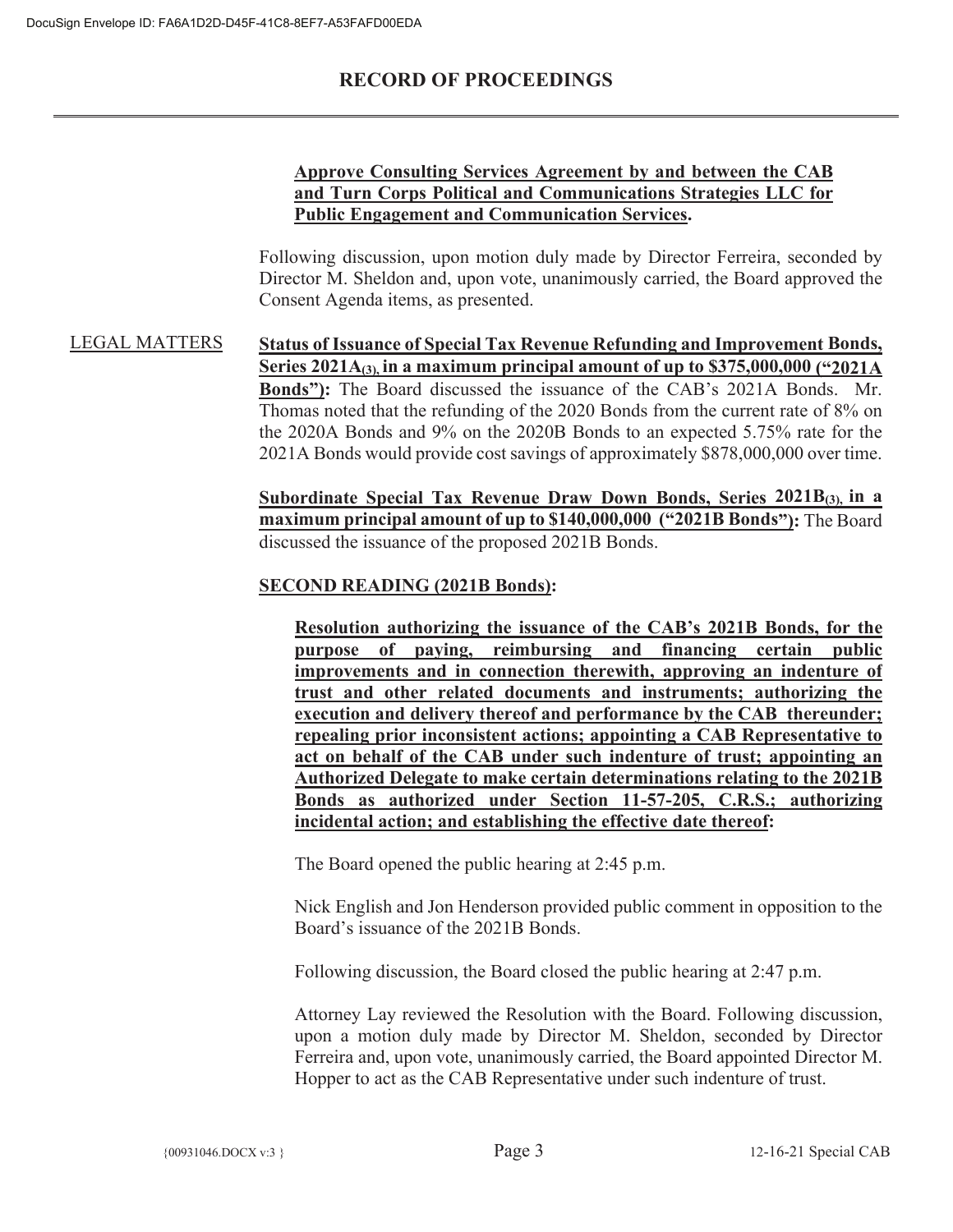### **Approve Consulting Services Agreement by and between the CAB and Turn Corps Political and Communications Strategies LLC for Public Engagement and Communication Services.**

Following discussion, upon motion duly made by Director Ferreira, seconded by Director M. Sheldon and, upon vote, unanimously carried, the Board approved the Consent Agenda items, as presented.

LEGAL MATTERS **Status of Issuance of Special Tax Revenue Refunding and Improvement Bonds, Series 2021A(3), in a maximum principal amount of up to \$375,000,000 ("2021A Bonds"):** The Board discussed the issuance of the CAB's 2021A Bonds. Mr. Thomas noted that the refunding of the 2020 Bonds from the current rate of 8% on the 2020A Bonds and 9% on the 2020B Bonds to an expected 5.75% rate for the 2021A Bonds would provide cost savings of approximately \$878,000,000 over time.

> **Subordinate Special Tax Revenue Draw Down Bonds, Series 2021B(3), in a maximum principal amount of up to \$140,000,000 ("2021B Bonds"):** The Board discussed the issuance of the proposed 2021B Bonds.

### **SECOND READING (2021B Bonds):**

**Resolution authorizing the issuance of the CAB's 2021B Bonds, for the purpose of paying, reimbursing and financing certain public improvements and in connection therewith, approving an indenture of trust and other related documents and instruments; authorizing the execution and delivery thereof and performance by the CAB thereunder; repealing prior inconsistent actions; appointing a CAB Representative to act on behalf of the CAB under such indenture of trust; appointing an Authorized Delegate to make certain determinations relating to the 2021B Bonds as authorized under Section 11-57-205, C.R.S.; authorizing incidental action; and establishing the effective date thereof:** 

The Board opened the public hearing at 2:45 p.m.

Nick English and Jon Henderson provided public comment in opposition to the Board's issuance of the 2021B Bonds.

Following discussion, the Board closed the public hearing at 2:47 p.m.

Attorney Lay reviewed the Resolution with the Board. Following discussion, upon a motion duly made by Director M. Sheldon, seconded by Director Ferreira and, upon vote, unanimously carried, the Board appointed Director M. Hopper to act as the CAB Representative under such indenture of trust.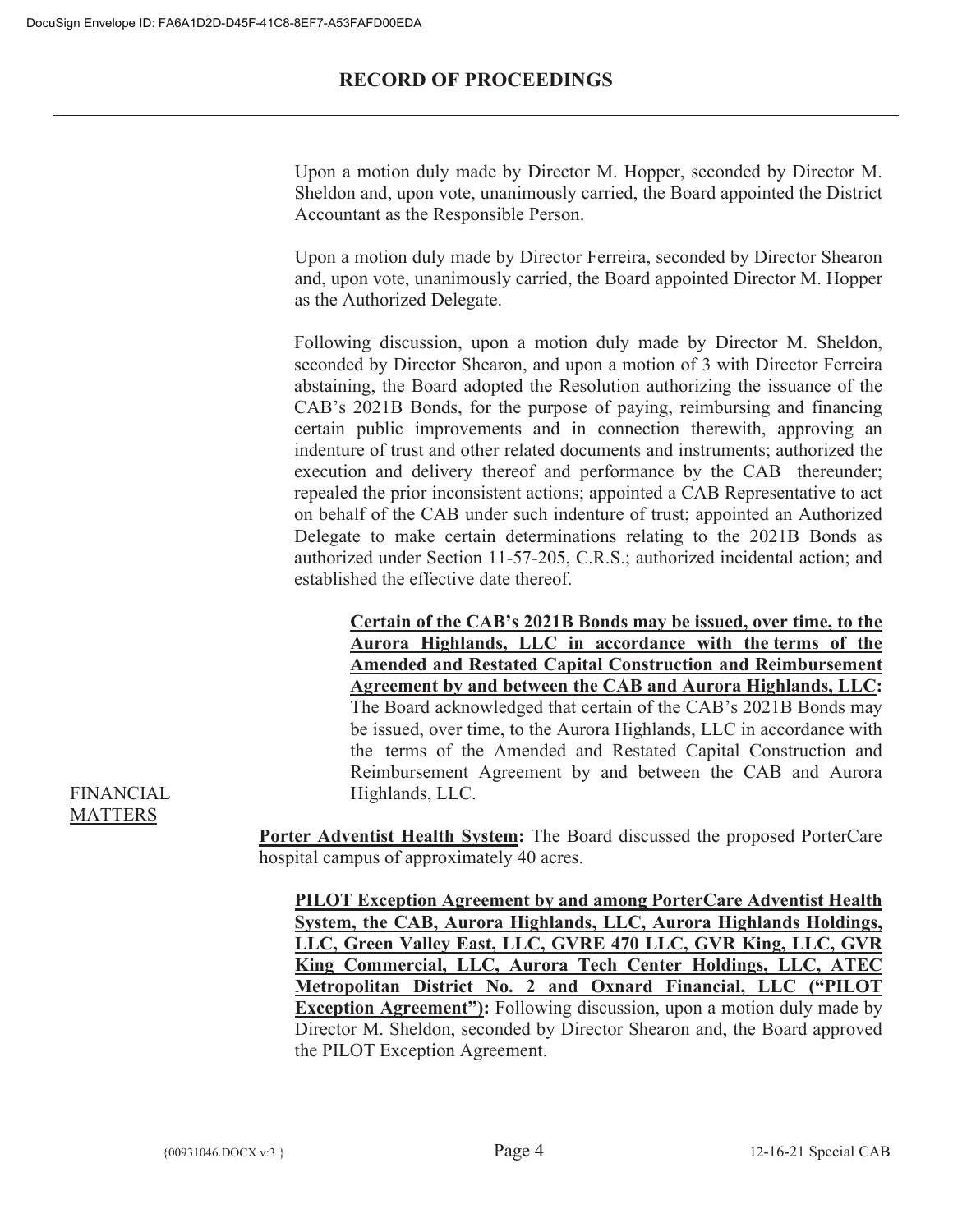Upon a motion duly made by Director M. Hopper, seconded by Director M. Sheldon and, upon vote, unanimously carried, the Board appointed the District Accountant as the Responsible Person.

Upon a motion duly made by Director Ferreira, seconded by Director Shearon and, upon vote, unanimously carried, the Board appointed Director M. Hopper as the Authorized Delegate.

Following discussion, upon a motion duly made by Director M. Sheldon, seconded by Director Shearon, and upon a motion of 3 with Director Ferreira abstaining, the Board adopted the Resolution authorizing the issuance of the CAB's 2021B Bonds, for the purpose of paying, reimbursing and financing certain public improvements and in connection therewith, approving an indenture of trust and other related documents and instruments; authorized the execution and delivery thereof and performance by the CAB thereunder; repealed the prior inconsistent actions; appointed a CAB Representative to act on behalf of the CAB under such indenture of trust; appointed an Authorized Delegate to make certain determinations relating to the 2021B Bonds as authorized under Section 11-57-205, C.R.S.; authorized incidental action; and established the effective date thereof.

**Certain of the CAB's 2021B Bonds may be issued, over time, to the Aurora Highlands, LLC in accordance with the terms of the Amended and Restated Capital Construction and Reimbursement Agreement by and between the CAB and Aurora Highlands, LLC:** The Board acknowledged that certain of the CAB's 2021B Bonds may be issued, over time, to the Aurora Highlands, LLC in accordance with the terms of the Amended and Restated Capital Construction and Reimbursement Agreement by and between the CAB and Aurora Highlands, LLC.

**Porter Adventist Health System:** The Board discussed the proposed PorterCare hospital campus of approximately 40 acres.

**PILOT Exception Agreement by and among PorterCare Adventist Health System, the CAB, Aurora Highlands, LLC, Aurora Highlands Holdings, LLC, Green Valley East, LLC, GVRE 470 LLC, GVR King, LLC, GVR King Commercial, LLC, Aurora Tech Center Holdings, LLC, ATEC Metropolitan District No. 2 and Oxnard Financial, LLC ("PILOT Exception Agreement"):** Following discussion, upon a motion duly made by Director M. Sheldon, seconded by Director Shearon and, the Board approved the PILOT Exception Agreement.

#### FINANCIAL MATTERS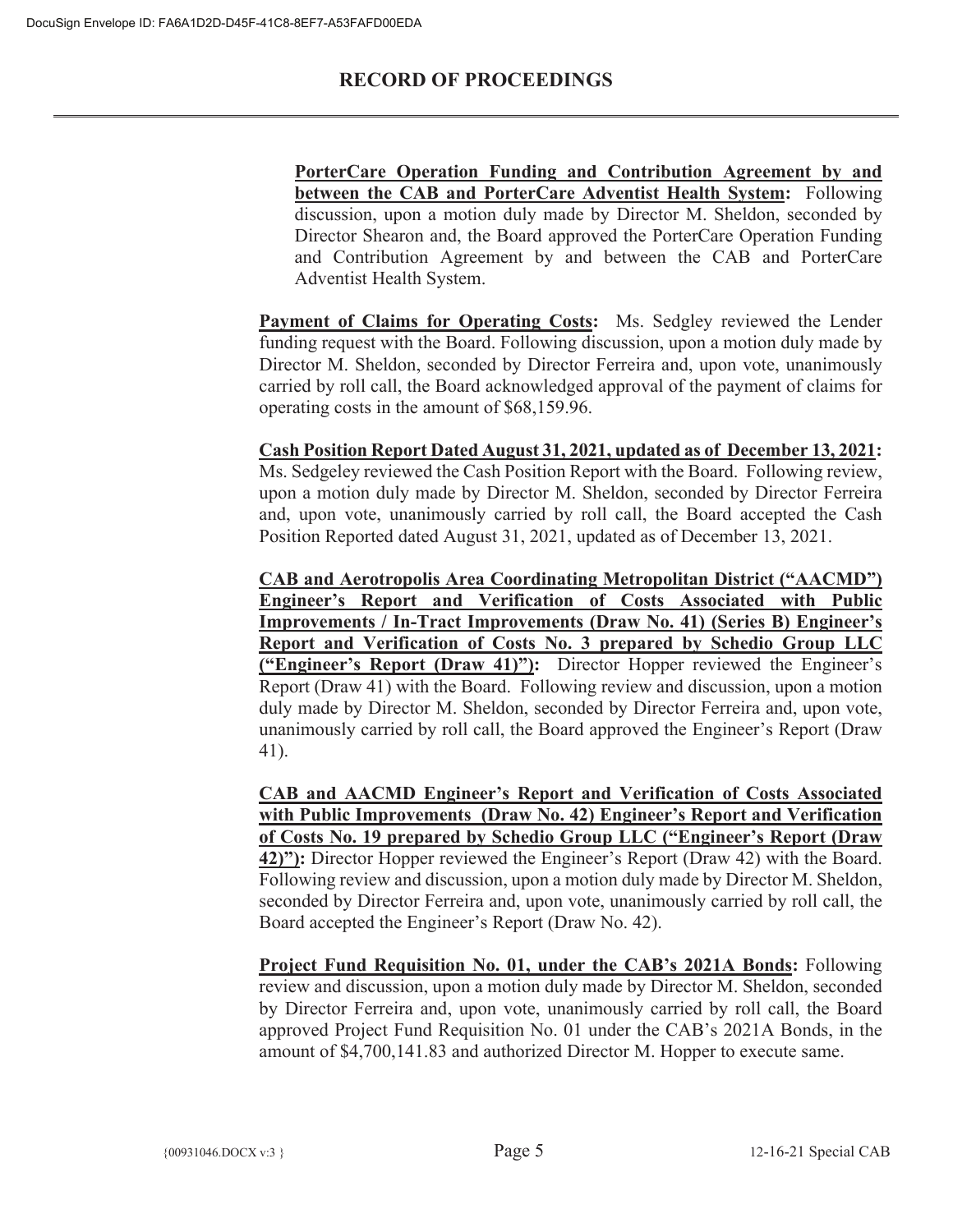**PorterCare Operation Funding and Contribution Agreement by and between the CAB and PorterCare Adventist Health System:** Following discussion, upon a motion duly made by Director M. Sheldon, seconded by Director Shearon and, the Board approved the PorterCare Operation Funding and Contribution Agreement by and between the CAB and PorterCare Adventist Health System.

**Payment of Claims for Operating Costs:** Ms. Sedgley reviewed the Lender funding request with the Board. Following discussion, upon a motion duly made by Director M. Sheldon, seconded by Director Ferreira and, upon vote, unanimously carried by roll call, the Board acknowledged approval of the payment of claims for operating costs in the amount of \$68,159.96.

# **Cash Position Report Dated August 31, 2021, updated as of December 13, 2021:**

Ms. Sedgeley reviewed the Cash Position Report with the Board. Following review, upon a motion duly made by Director M. Sheldon, seconded by Director Ferreira and, upon vote, unanimously carried by roll call, the Board accepted the Cash Position Reported dated August 31, 2021, updated as of December 13, 2021.

**CAB and Aerotropolis Area Coordinating Metropolitan District ("AACMD") Engineer's Report and Verification of Costs Associated with Public Improvements / In-Tract Improvements (Draw No. 41) (Series B) Engineer's Report and Verification of Costs No. 3 prepared by Schedio Group LLC ("Engineer's Report (Draw 41)"):** Director Hopper reviewed the Engineer's Report (Draw 41) with the Board. Following review and discussion, upon a motion duly made by Director M. Sheldon, seconded by Director Ferreira and, upon vote, unanimously carried by roll call, the Board approved the Engineer's Report (Draw 41).

**CAB and AACMD Engineer's Report and Verification of Costs Associated with Public Improvements (Draw No. 42) Engineer's Report and Verification of Costs No. 19 prepared by Schedio Group LLC ("Engineer's Report (Draw 42)"):** Director Hopper reviewed the Engineer's Report (Draw 42) with the Board. Following review and discussion, upon a motion duly made by Director M. Sheldon, seconded by Director Ferreira and, upon vote, unanimously carried by roll call, the Board accepted the Engineer's Report (Draw No. 42).

**Project Fund Requisition No. 01, under the CAB's 2021A Bonds:** Following review and discussion, upon a motion duly made by Director M. Sheldon, seconded by Director Ferreira and, upon vote, unanimously carried by roll call, the Board approved Project Fund Requisition No. 01 under the CAB's 2021A Bonds, in the amount of \$4,700,141.83 and authorized Director M. Hopper to execute same.